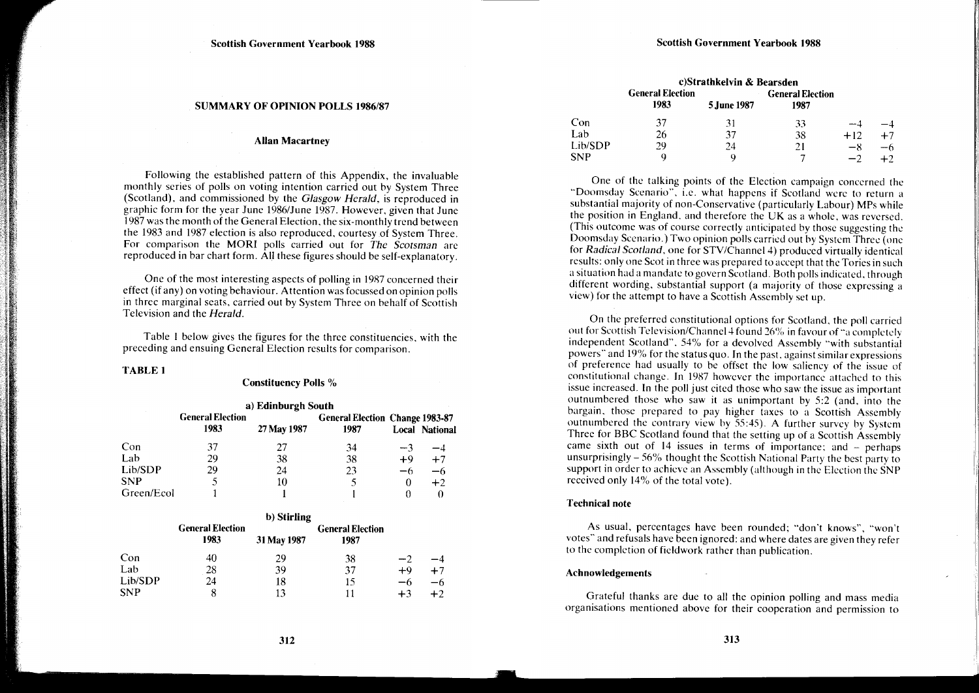#### SUMMARY OF OPINION POLLS 1986/87

## Allan Macartney

Following the established pattern of this Appendix, the invaluable monthly series of polls on voting intention carried out by System Three (Scotland), and commissioned by the *Glasgow Herald,* is reproduced in graphic form for the year June 1986/June 1987. However, given that June 1987 was the month of the General Election. the six-monthly trend between the 1983 and 1987 election is also reproduced. courtesy of System Three. For comparison the MORI polls carried out for *The Scotsman* arc reproduced in bar chart form. All these figures should be self-explanatory.

One of the most interesting aspects of polling in 1987 concerned their effect (if any) on voting behaviour. Attention was focussed on opinion polls in three marginal seats, carried out by System Three on behalf of Scottish Television and the *Herald.* 

Table I below gives the figures for the three constituencies. with the preceding and ensuing General Election results for comparison.

## TABLE 1

# Constituency Polls %

| a) Edinburgh South |                                 |             |                                                |      |                       |  |  |
|--------------------|---------------------------------|-------------|------------------------------------------------|------|-----------------------|--|--|
|                    | <b>General Election</b><br>1983 | 27 May 1987 | <b>General Election Change 1983-87</b><br>1987 |      | <b>Local National</b> |  |  |
| Con                | 37                              | 27          | 34                                             | $-3$ | -4                    |  |  |
| Lab                | 29                              | 38          | 38                                             | $+9$ | $+7$                  |  |  |
| Lib/SDP            | 29                              | 24          | 23                                             | -6   | -6                    |  |  |
| <b>SNP</b>         |                                 | 10          |                                                | 0    | $+2$                  |  |  |
| Green/Ecol         |                                 |             |                                                |      |                       |  |  |

|            | b) Stirling                     |             |                                 |      |      |  |
|------------|---------------------------------|-------------|---------------------------------|------|------|--|
|            | <b>General Election</b><br>1983 | 31 May 1987 | <b>General Election</b><br>1987 |      |      |  |
| Con        | 40                              | 29          | 38                              | $-2$ |      |  |
| Lab        | 28                              | 39          | 37                              | $+9$ | $+7$ |  |
| Lib/SDP    | 24                              | 18          | 15                              | —რ   | -6   |  |
| <b>SNP</b> |                                 | 13          | 11                              | $+3$ | $+2$ |  |

|         | c)Strathkelvin & Bearsden       |             |                                 |       |      |
|---------|---------------------------------|-------------|---------------------------------|-------|------|
|         | <b>General Election</b><br>1983 |             | <b>General Election</b><br>1987 |       |      |
|         |                                 | 5 June 1987 |                                 |       |      |
| Con     | 37                              | 31          | 33                              | -- 4  |      |
| Lab     | 26                              | 37          | 38                              | $+12$ | $+7$ |
| Lib/SDP | 29                              | 24          | 21                              | $-8$  | -6   |
| SNP     | a                               | O           |                                 |       |      |

One of the talking points of the Election campaign concerned the "Doomsday Scenario", i.e. what happens if Scotland were to return a substantial majority of non-Conservative (particularly Labour) MPs while the position in England. and therefore the UK as a whole, was reversed. (This outcome was of course correctly anticipated by those suggesting the Doomsday Scenario.) Two opinion polls carried out by System Three (one for *Radical Scotland*, one for STV/Channel 4) produced virtually identical results: only one Scot in three was prepared to accept that the Tories in such a situation had a mandate to govern Scotland. Both polls indicated. through different wording, substantial support (a majority of those expressing a view) for the attempt to have a Scottish Assembly set up.

On the preferred constitutional options for Scotland, the poll carried out for Scottish Television/Channel 4 found 26% in favour of "a completely independent Scotland", 54% for a devolved Assembly "with substantial powers" and 19% for the status quo. In the past, against similar expressions of preference had usually to be offset the low saliency of the issue of constitutional change. In 1987 however the importance attached to this issue increased. In the poll just cited those who saw the issue as important outnumbered those who saw it as unimportant by 5:2 (and, into the bargain, those prepared to pay higher taxes to a Scottish Assembly outnumbered the contrary view by 55:45). A further survey by System Three for BBC Scotland found that the setting up of a Scottish Assembly came sixth out of  $14$  issues in terms of importance; and  $-$  perhaps unsurprisingly- 56% thought the Scottish National Party the best party to support in order to achieve an Assembly (although in the Election the SNP received only 14% of the total vote).

#### Technical note

As usual, percentages have been rounded: "don't knows", "won't votes" and refusals have been ignored: and where dates are given they refer to the completion of fieldwork rather than publication.

#### Achnowledgements

Grateful thanks are due to all the opinion polling and mass media organisations mentioned above for their cooperation and permission to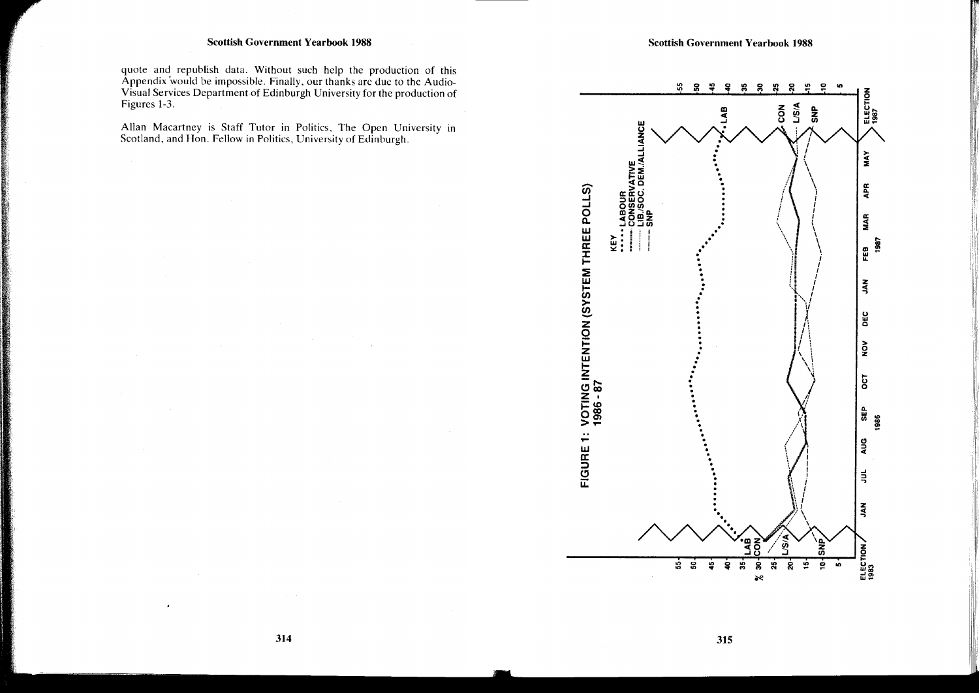# **Scottish Government Yearbook 1988**

quote and republish data. Without such help the production of this Appendix would be impossible. Finally, our thanks are due to the Audio-Visual Services Department of Edinburgh University for the production of Figures 1-3.

Allan Macartney is Staff Tutor in Politics, The Open University in Scotland, and Hon. Fellow in Politics, University of Edinburgh.



315